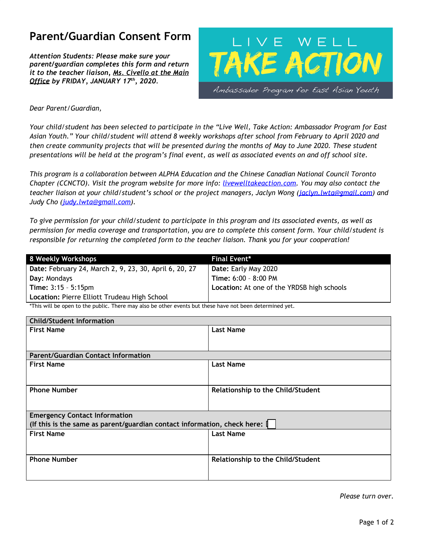# **Parent/Guardian Consent Form**

*Attention Students: Please make sure your parent/guardian completes this form and return it to the teacher liaison, Ms. Civello at the Main Office by FRIDAY, JANUARY 17 th , 2020.*



## *Dear Parent/Guardian,*

Your child/student has been selected to participate in the "Live Well, Take Action: Ambassador Program for East Asian Youth." Your child/student will attend 8 weekly workshops after school from February to April 2020 and then create community projects that will be presented during the months of May to June 2020. These student presentations will be held at the program's final event, as well as associated events on and off school site.

*This program is a collaboration between ALPHA Education and the Chinese Canadian National Council Toronto Chapter (CCNCTO). Visit the program website for more info: livewelltakeaction.com. You may also contact the teacher liaison at your child/student's school or the project managers, Jaclyn Wong ([jaclyn.lwta@gmail.com\)](mailto:jaclyn.lwta@gmail.com) and Judy Cho ([judy.lwta@gmail.com\)](mailto:judy.lwta@gmail.com).*

To give permission for your child/student to participate in this program and its associated events, as well as *permission for media coverage and transportation, you are to complete this consent form. Your child/student is responsible for returning the completed form to the teacher liaison. Thank you for your cooperation!*

| 8 Weekly Workshops                                     | <b>Final Event*</b>                        |
|--------------------------------------------------------|--------------------------------------------|
| Date: February 24, March 2, 9, 23, 30, April 6, 20, 27 | Date: Early May 2020                       |
| Day: Mondays                                           | Time: 6:00 - 8:00 PM                       |
| <b>Time: <math>3:15 - 5:15</math>pm</b>                | Location: At one of the YRDSB high schools |
| Location: Pierre Elliott Trudeau High School           |                                            |

\*This will be open to the public. There may also be other events but these have not been determined yet.

| <b>Child/Student Information</b>                                         |                                   |  |
|--------------------------------------------------------------------------|-----------------------------------|--|
| <b>First Name</b>                                                        | <b>Last Name</b>                  |  |
|                                                                          |                                   |  |
|                                                                          |                                   |  |
| <b>Parent/Guardian Contact Information</b>                               |                                   |  |
| <b>First Name</b>                                                        | <b>Last Name</b>                  |  |
|                                                                          |                                   |  |
|                                                                          |                                   |  |
| <b>Phone Number</b>                                                      | Relationship to the Child/Student |  |
|                                                                          |                                   |  |
|                                                                          |                                   |  |
| <b>Emergency Contact Information</b>                                     |                                   |  |
| (If this is the same as parent/guardian contact information, check here: |                                   |  |
| <b>First Name</b>                                                        | <b>Last Name</b>                  |  |
|                                                                          |                                   |  |
|                                                                          |                                   |  |
| <b>Phone Number</b>                                                      | Relationship to the Child/Student |  |
|                                                                          |                                   |  |
|                                                                          |                                   |  |

*Please turn over.*